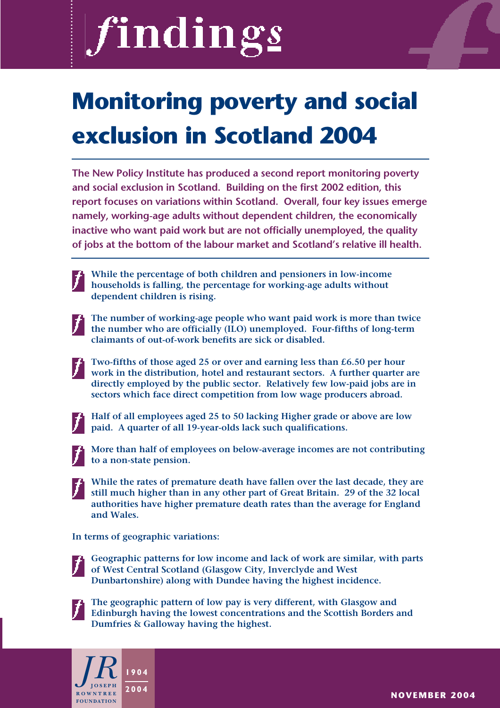# findings

## **Monitoring poverty and social exclusion in Scotland 2004**

**The New Policy Institute has produced a second report monitoring poverty and social exclusion in Scotland. Building on the first 2002 edition, this report focuses on variations within Scotland. Overall, four key issues emerge namely, working-age adults without dependent children, the economically inactive who want paid work but are not officially unemployed, the quality of jobs at the bottom of the labour market and Scotland's relative ill health.**

**While the percentage of both children and pensioners in low-income households is falling, the percentage for working-age adults without dependent children is rising.**

**The number of working-age people who want paid work is more than twice the number who are officially (ILO) unemployed. Four-fifths of long-term claimants of out-of-work benefits are sick or disabled.**

**Two-fifths of those aged 25 or over and earning less than £6.50 per hour work in the distribution, hotel and restaurant sectors. A further quarter are directly employed by the public sector. Relatively few low-paid jobs are in sectors which face direct competition from low wage producers abroad.**



**Half of all employees aged 25 to 50 lacking Higher grade or above are low paid. A quarter of all 19-year-olds lack such qualifications.**



**More than half of employees on below-average incomes are not contributing to a non-state pension.**

**While the rates of premature death have fallen over the last decade, they are still much higher than in any other part of Great Britain. 29 of the 32 local authorities have higher premature death rates than the average for England and Wales.**

**In terms of geographic variations:**



**Geographic patterns for low income and lack of work are similar, with parts of West Central Scotland (Glasgow City, Inverclyde and West Dunbartonshire) along with Dundee having the highest incidence.**



**The geographic pattern of low pay is very different, with Glasgow and Edinburgh having the lowest concentrations and the Scottish Borders and Dumfries & Galloway having the highest.**



**NOVEMBER 2004**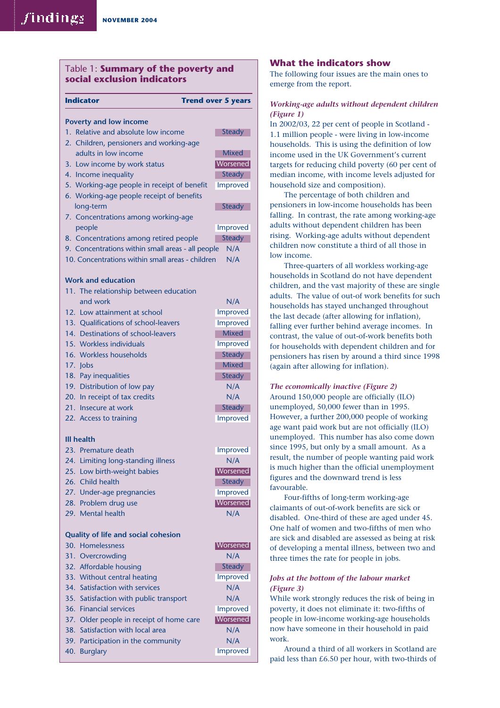#### Table 1: **Summary of the poverty and social exclusion indicators**

**Indicator Trend over 5 years** 

#### **Poverty and low income** 1. Relative and absolute low income 2. Children, pensioners and working-age adults in low income 3. Low income by work status 4. Income inequality 5. Working-age people in receipt of benefit 6. Working-age people receipt of benefits long-term 7. Concentrations among working-age people 8. Concentrations among retired people 9. Concentrations within small areas - all people N/A 10. Concentrations within small areas - children N/A **Work and education** 11. The relationship between education and work N/A 12. Low attainment at school 13. Qualifications of school-leavers 14. Destinations of school-leavers 15. Workless individuals 16. Workless households 17. Jobs 18. Pay inequalities 19. Distribution of low pay N/A 20. In receipt of tax credits N/A 21. Insecure at work 22. Access to training Improved **Steady** Steady **Mixed** Steady Improved **Mixed** Improved Improved **Steady** Improved **Steady** Improved **Steady Worsened Mixed Steady**

#### **Ill health**

| 23. Premature death                        | Improved |
|--------------------------------------------|----------|
| 24. Limiting long-standing illness         | N/A      |
| 25. Low birth-weight babies                | Worsened |
| 26. Child health                           | Steady   |
| 27. Under-age pregnancies                  | Improved |
| 28. Problem drug use                       | Worsened |
| 29. Mental health                          | N/A      |
|                                            |          |
| <b>Quality of life and social cohesion</b> |          |
| 30. Homelessness                           | Worsened |
| 31. Overcrowding                           | N/A      |
| 32. Affordable housing                     | Steady   |
| 33. Without central heating                | Improved |
| 34. Satisfaction with services             | N/A      |
| 35. Satisfaction with public transport     | N/A      |
| 36. Financial services                     | Improved |
| 37. Older people in receipt of home care   | Worsened |
| 38. Satisfaction with local area           | N/A      |
| 39. Participation in the community         | N/A      |
| 40. Burglary                               | Improved |

#### **What the indicators show**

The following four issues are the main ones to emerge from the report.

#### *Working-age adults without dependent children (Figure 1)*

In 2002/03, 22 per cent of people in Scotland - 1.1 million people - were living in low-income households. This is using the definition of low income used in the UK Government's current targets for reducing child poverty (60 per cent of median income, with income levels adjusted for household size and composition).

The percentage of both children and pensioners in low-income households has been falling. In contrast, the rate among working-age adults without dependent children has been rising. Working-age adults without dependent children now constitute a third of all those in low income.

Three-quarters of all workless working-age households in Scotland do not have dependent children, and the vast majority of these are single adults. The value of out-of work benefits for such households has stayed unchanged throughout the last decade (after allowing for inflation), falling ever further behind average incomes. In contrast, the value of out-of-work benefits both for households with dependent children and for pensioners has risen by around a third since 1998 (again after allowing for inflation).

*The economically inactive (Figure 2)* Around 150,000 people are officially (ILO) unemployed, 50,000 fewer than in 1995. However, a further 200,000 people of working age want paid work but are not officially (ILO) unemployed. This number has also come down since 1995, but only by a small amount. As a result, the number of people wanting paid work is much higher than the official unemployment figures and the downward trend is less favourable.

Four-fifths of long-term working-age claimants of out-of-work benefits are sick or disabled. One-third of these are aged under 45. One half of women and two-fifths of men who are sick and disabled are assessed as being at risk of developing a mental illness, between two and three times the rate for people in jobs.

#### *Jobs at the bottom of the labour market (Figure 3)*

While work strongly reduces the risk of being in poverty, it does not eliminate it: two-fifths of people in low-income working-age households now have someone in their household in paid work.

Around a third of all workers in Scotland are paid less than £6.50 per hour, with two-thirds of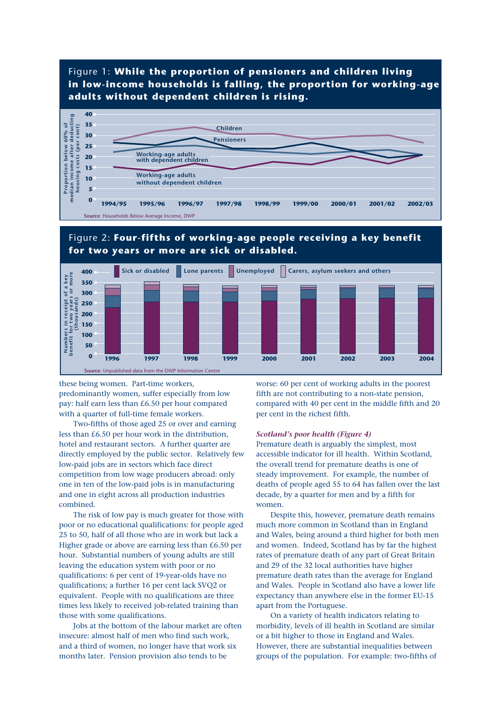#### Figure 1: **While the proportion of pensioners and children living in low-income households is falling, the proportion for working-age adults without dependent children is rising.**



#### Figure 2: **Four-fifths of working-age people receiving a key benefit for two years or more are sick or disabled.**



these being women. Part-time workers, predominantly women, suffer especially from low pay: half earn less than £6.50 per hour compared with a quarter of full-time female workers.

Two-fifths of those aged 25 or over and earning less than £6.50 per hour work in the distribution, hotel and restaurant sectors. A further quarter are directly employed by the public sector. Relatively few low-paid jobs are in sectors which face direct competition from low wage producers abroad: only one in ten of the low-paid jobs is in manufacturing and one in eight across all production industries combined.

The risk of low pay is much greater for those with poor or no educational qualifications: for people aged 25 to 50, half of all those who are in work but lack a Higher grade or above are earning less than £6.50 per hour. Substantial numbers of young adults are still leaving the education system with poor or no qualifications: 6 per cent of 19-year-olds have no qualifications; a further 16 per cent lack SVQ2 or equivalent. People with no qualifications are three times less likely to received job-related training than those with some qualifications.

Jobs at the bottom of the labour market are often insecure: almost half of men who find such work, and a third of women, no longer have that work six months later. Pension provision also tends to be

worse: 60 per cent of working adults in the poorest fifth are not contributing to a non-state pension, compared with 40 per cent in the middle fifth and 20 per cent in the richest fifth.

#### *Scotland's poor health (Figure 4)*

Premature death is arguably the simplest, most accessible indicator for ill health. Within Scotland, the overall trend for premature deaths is one of steady improvement. For example, the number of deaths of people aged 55 to 64 has fallen over the last decade, by a quarter for men and by a fifth for women.

Despite this, however, premature death remains much more common in Scotland than in England and Wales, being around a third higher for both men and women. Indeed, Scotland has by far the highest rates of premature death of any part of Great Britain and 29 of the 32 local authorities have higher premature death rates than the average for England and Wales. People in Scotland also have a lower life expectancy than anywhere else in the former EU-15 apart from the Portuguese.

On a variety of health indicators relating to morbidity, levels of ill health in Scotland are similar or a bit higher to those in England and Wales. However, there are substantial inequalities between groups of the population. For example: two-fifths of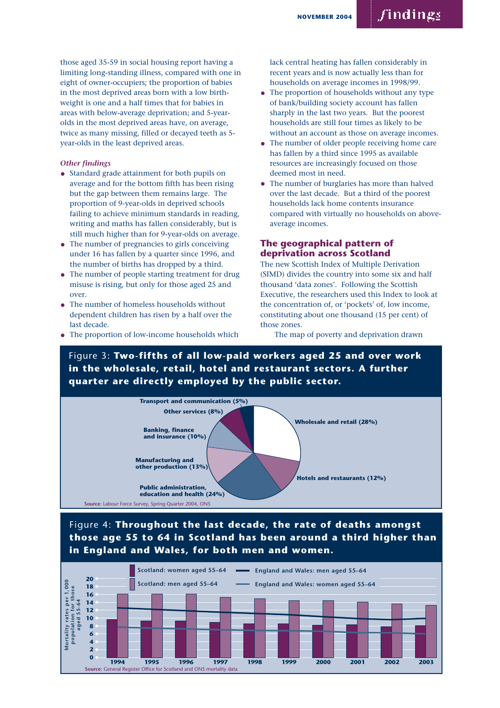### findings

those aged 35-59 in social housing report having a limiting long-standing illness, compared with one in eight of owner-occupiers; the proportion of babies in the most deprived areas born with a low birthweight is one and a half times that for babies in areas with below-average deprivation; and 5-yearolds in the most deprived areas have, on average, twice as many missing, filled or decayed teeth as 5 year-olds in the least deprived areas.

#### *Other findings*

- Standard grade attainment for both pupils on average and for the bottom fifth has been rising but the gap between them remains large. The proportion of 9-year-olds in deprived schools failing to achieve minimum standards in reading, writing and maths has fallen considerably, but is still much higher than for 9-year-olds on average.
- The number of pregnancies to girls conceiving under 16 has fallen by a quarter since 1996, and the number of births has dropped by a third.
- The number of people starting treatment for drug misuse is rising, but only for those aged 25 and over.
- The number of homeless households without dependent children has risen by a half over the last decade.
- The proportion of low-income households which

lack central heating has fallen considerably in recent years and is now actually less than for households on average incomes in 1998/99.

- The proportion of households without any type of bank/building society account has fallen sharply in the last two years. But the poorest households are still four times as likely to be without an account as those on average incomes.
- The number of older people receiving home care has fallen by a third since 1995 as available resources are increasingly focused on those deemed most in need.
- The number of burglaries has more than halved over the last decade. But a third of the poorest households lack home contents insurance compared with virtually no households on aboveaverage incomes.

#### **The geographical pattern of deprivation across Scotland**

The new Scottish Index of Multiple Derivation (SIMD) divides the country into some six and half thousand 'data zones'. Following the Scottish Executive, the researchers used this Index to look at the concentration of, or 'pockets' of, low income, constituting about one thousand (15 per cent) of those zones.

The map of poverty and deprivation drawn

Figure 3: **Two-fifths of all low-paid workers aged 25 and over work in the wholesale, retail, hotel and restaurant sectors. A further quarter are directly employed by the public sector.**



#### Figure 4: **Throughout the last decade, the rate of deaths amongst those age 55 to 64 in Scotland has been around a third higher than in England and Wales, for both men and women.**

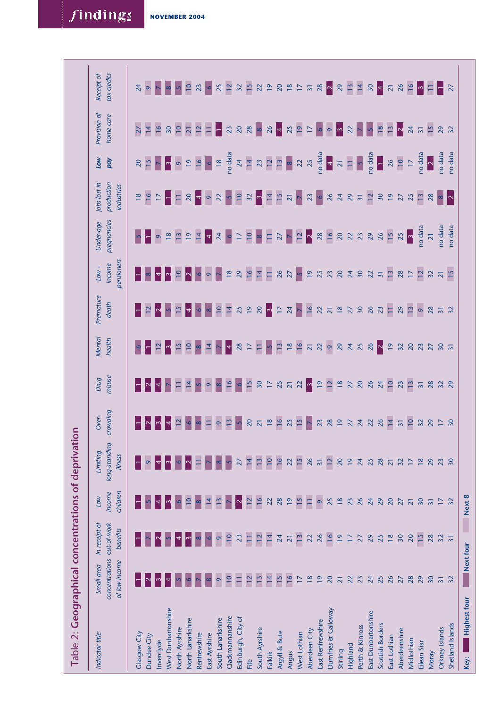| Table 2: Geographical concentrations of deprivation |                                               |                                                 |                                  |                                      |                          |                                           |                                         |                                    |                                 |                          |                                          |                        |                           |                           |
|-----------------------------------------------------|-----------------------------------------------|-------------------------------------------------|----------------------------------|--------------------------------------|--------------------------|-------------------------------------------|-----------------------------------------|------------------------------------|---------------------------------|--------------------------|------------------------------------------|------------------------|---------------------------|---------------------------|
| Indicator title:                                    | concentrations<br>of low income<br>Small area | In receipt of<br>out-of-work<br><b>benefits</b> | children<br>income<br><b>Low</b> | long-standing<br>Limiting<br>illness | crowding<br>Over-        | misuse<br>Drug                            | Mental<br>health                        | Premature<br>death                 | pensioners<br>income<br>$Low -$ | pregnancies<br>Under-age | production<br>Jobs lost in<br>industries | Low<br>pay             | Provision of<br>home care | tax credits<br>Receipt of |
|                                                     |                                               |                                                 |                                  |                                      |                          |                                           |                                         |                                    |                                 |                          |                                          |                        |                           |                           |
| <b>Clasgow City</b>                                 |                                               |                                                 |                                  |                                      |                          |                                           |                                         |                                    |                                 |                          | 18                                       | $\overline{20}$        | $\overline{27}$           | 24                        |
| Dundee City                                         |                                               |                                                 |                                  |                                      |                          |                                           |                                         |                                    |                                 |                          | $\overline{16}$                          | 15                     | $\overline{14}$           | $\circ$                   |
| Inverclyde                                          | $\sim$                                        |                                                 |                                  |                                      | $\sim$                   | 4                                         | 12                                      | $\mathbin{\bowtie}$                | 4                               | $\circ$                  | $\overline{17}$                          |                        | $\overline{16}$           |                           |
| West Dunbartonshire                                 |                                               |                                                 |                                  |                                      | $\overline{4}$           |                                           | $\lvert$ m                              |                                    | $\sim$                          | $\frac{8}{18}$           | $\mathsf{H}$                             | $\mathsf{P}$           | $\overline{50}$           |                           |
| North Ayrshire                                      |                                               |                                                 |                                  |                                      | 12                       | $\overline{\Box}$                         | $\frac{5}{2}$                           | 15                                 | $\overline{10}$                 | $\overline{13}$          | $\Box$                                   | $\circ$                | $\overline{10}$           |                           |
| North Lanarkshire                                   |                                               |                                                 | $\Xi$                            |                                      |                          | $\overline{14}$                           | $\overline{10}$                         | $\left  \boldsymbol{\psi} \right $ | $\overline{\mathsf{c}}$         | $\overline{19}$          | 20                                       | $\overline{19}$        | $\overline{21}$           | $\overline{10}$           |
| Renfrewshire                                        |                                               |                                                 |                                  |                                      | $\infty$                 |                                           | $\infty$                                |                                    | $\circ$                         | $\overline{14}$          | $\vert$ 4                                | 16                     | $\overline{12}$           | 23                        |
| East Ayrshire                                       |                                               |                                                 | $\overline{4}$                   |                                      | Ξ                        | $\circ$                                   | $\overline{14}$                         | $\infty$                           | $\circ$                         | $\vert 4 \vert$          | $\circ$                                  | $\circ$                | $\Xi$                     | $\circ$                   |
| South Lanarkshire                                   | $\circ$                                       | $\circ$                                         | 13                               |                                      | $\circ$                  | $\infty$                                  |                                         | $\overline{\phantom{0}}$           | $\triangleright$                | 24                       | 22                                       | $\frac{18}{2}$         | ├                         | 25                        |
| Clackmannanshire                                    | $\overline{10}$                               | $\overline{10}$                                 |                                  |                                      | $\frac{1}{2}$            | $\overline{16}$                           | $\vert$ 4                               | $\vert$ 4                          | $\frac{8}{2}$                   | $\bullet$                | $\sim$                                   | no data                | 23                        | 12                        |
| Edinburgh, City of                                  | $\Box$                                        | 23                                              | $\mathbf{\Omega}$                | $\overline{27}$                      | $\overline{5}$           | $\circ$                                   | 28                                      | 25                                 | 29                              | $\overline{17}$          | $\overline{10}$                          | $\overline{24}$        | $\overline{20}$           | 32                        |
| Fife                                                | 12                                            | $\Box$                                          | $\overline{12}$                  | $\overline{14}$                      | $\overline{20}$          | $\overline{15}$                           | $\overline{17}$                         | $\overline{61}$                    | $\frac{16}{2}$                  | $\overline{\phantom{0}}$ | 32                                       | $\overline{14}$        | 28                        | 15                        |
| South Ayrshire                                      | $\frac{13}{2}$                                | $\overline{12}$                                 | 16                               | 13                                   | $\overline{21}$          | $\overline{50}$                           | $\overline{\Box}$                       |                                    | $\overline{14}$                 | $\infty$                 | $\lvert \mathfrak{\text{m}} \rvert$      | 23                     | $\infty$                  | 22                        |
| Falkirk                                             | $\overline{14}$                               | $\overline{14}$                                 | 22                               | $\overline{10}$                      | $\frac{8}{18}$           | $\frac{17}{25}$                           | $\triangleright$                        | $\frac{20}{3}$                     | $\Box$                          | $\Box$                   | $\vert$ 4                                | $\frac{1}{2}$          |                           | $\overline{19}$           |
| Argyll & Bute                                       | 15                                            | 24                                              | 28                               | 16                                   | 16                       |                                           | $\overline{13}$                         | $\overline{\mathbb{L}}$            | 26                              | $\overline{27}$          | 15                                       | $\overline{13}$        | $\frac{26}{4}$            | $\overline{20}$           |
| Angus                                               | 16                                            | $\overline{21}$                                 | $\overline{19}$                  | $\overline{2}$                       | 25                       | $\overline{21}$                           | $\frac{8}{18}$                          | $\overline{24}$                    | $\overline{27}$                 | $\triangleright$         | $\overline{2}1$                          | $\infty$               | 25                        | $\frac{8}{18}$            |
| West Lothian                                        | 17                                            | $\overline{13}$                                 | 15                               | 15                                   |                          | $\overline{2}$                            | $\overline{16}$                         | $\triangleright$                   | $\sim$                          | $\overline{12}$          | $\triangleright$                         | $\overline{2}$         | $\overline{19}$           | $\overline{17}$           |
| Aberdeen City                                       | $\frac{8}{18}$                                | 22                                              | $\Box$                           | 26                                   | $\triangleright$         | $\lvert \cdot \rvert$                     |                                         | 16                                 | $\overline{19}$                 | $ \hspace{.06cm} \sim$   | 23                                       | 25                     | $\overline{17}$           | $\overline{31}$           |
| East Renfrewshire                                   | $\overline{9}$                                | 26                                              | $\circ$                          | $\overline{31}$                      |                          |                                           | 229                                     | $\frac{22}{21}$                    |                                 | 28                       | $\circ$                                  |                        | $\bullet$                 | 28                        |
| Dumfries & Galloway                                 | 20                                            | 16                                              | 25                               | $\overline{12}$                      | 23 28 19                 |                                           |                                         |                                    |                                 | 16                       |                                          | no data<br><b>14</b>   | $\circ$                   | $\mathbin{\bowtie}$       |
| Stirling                                            | $\overline{2}1$                               | $\overline{19}$                                 | $\frac{8}{18}$                   | 20                                   |                          | $\frac{5}{2}$ $\frac{1}{2}$ $\frac{8}{2}$ | $29$ $24$                               | $\frac{8}{18}$                     | 33233                           | $\overline{20}$          | $284$<br>$295$<br>$31$                   | $\frac{21}{11}$        | $\mathfrak{S}$            | 29                        |
| Highland                                            | 22                                            | $\overline{17}$                                 | 23                               | $\overline{19}$                      | $\overline{27}$          |                                           |                                         | $\overline{27}$                    |                                 | 22                       |                                          |                        | 22                        | 13                        |
| Perth & Kinross                                     | 23                                            | 27                                              | 26                               | 24                                   | $\overline{24}$          | $\overline{20}$                           | 25                                      | 30                                 |                                 | $\overline{23}$          |                                          | $\overline{S}$         |                           | $\overline{14}$           |
| East Dunbartonshire                                 | 24                                            | 29                                              | 24                               | 25                                   |                          | 26                                        | 26                                      | 26                                 | $\frac{22}{31}$                 | 29                       | $\frac{12}{30}$                          |                        | $\overline{5}$            | 30                        |
| Scottish Borders                                    | 25                                            | 25                                              | 29                               | 28                                   |                          |                                           | $\vert \cdot \vert$                     | 23                                 |                                 | 26                       |                                          | no data<br><b>In T</b> | $\overline{18}$           | $\vert 4 \vert$           |
| East Lothian                                        | 26                                            | $\frac{8}{18}$                                  | 20                               | $\overline{2}1$                      | $284$<br>$74$<br>$75$    | $\frac{24}{10}$                           | $\begin{array}{c} 15 \\ 25 \end{array}$ | $\Xi$                              | $\overline{13}$                 | 15                       |                                          | 26                     | 13                        | $\overline{21}$           |
| Aberdeenshire                                       | 27                                            | 30                                              | 27                               | 32                                   |                          | 23                                        |                                         | 29                                 | 28                              | 25                       | $19$ 27                                  | $\overline{10}$        | $\mathbin{\bowtie}$       | 26                        |
| Midlothian                                          | 28                                            | 20                                              | $\overline{21}$                  | $\overline{1}$                       | $\overline{\phantom{0}}$ | $\overline{13}$                           | $\overline{20}$                         | $\overline{13}$                    |                                 |                          |                                          | $\overline{17}$        | 24                        | 16                        |
| Eilean Siar                                         | 29                                            | $\frac{5}{2}$                                   | 30                               | $\frac{8}{18}$                       | 32                       | $\overline{31}$                           | 23                                      | $\circ$                            | $\overline{12}$                 | no data                  | $\frac{1}{3}$                            | $\frac{1}{2}$          | $\overline{31}$           | $\mathsf{L}$              |
| Moray                                               | 30                                            | 28                                              | $\overline{3}$                   | 29                                   | 29                       | 28                                        | $\overline{27}$                         | 28                                 | 32                              | $\overline{21}$          | 28                                       |                        | $\overline{15}$           | $\Box$                    |
| Orkney Islands                                      | $\overline{31}$                               | 32                                              |                                  | 23                                   | 128                      | $\frac{2}{2}$                             | $30^{2}$                                | $\frac{3}{2}$                      | $\frac{21}{15}$                 | no data                  | $  \circ   \circ  $                      | no data                | 29<br>32                  | Π                         |
| Shetland Islands                                    | 32                                            | $\overline{5}$                                  | 32                               | 30                                   |                          |                                           |                                         |                                    |                                 | no data                  |                                          | no data                |                           | 27                        |
| <b>Highest four</b><br>Key:                         | Next four                                     |                                                 | Next 8                           |                                      |                          |                                           |                                         |                                    |                                 |                          |                                          |                        |                           |                           |